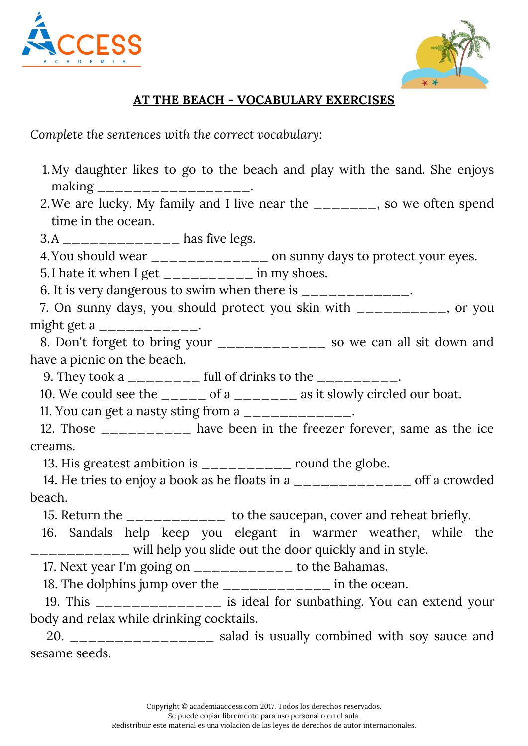



## **AT THE BEACH - VOCABULARY EXERCISES**

*Complete the sentences with the correct vocabulary:*

- My daughter likes to go to the beach and play with the sand. She enjoys 1. making \_\_\_\_\_\_\_\_\_\_\_\_\_\_\_\_\_\_.
- 2. We are lucky. My family and I live near the \_\_\_\_\_\_\_\_, so we often spend time in the ocean.
- 3.A \_\_\_\_\_\_\_\_\_\_\_\_\_ has five legs.
- 4.You should wear \_\_\_\_\_\_\_\_\_\_\_\_\_\_ on sunny days to protect your eyes.

5.I hate it when I get \_\_\_\_\_\_\_\_\_\_\_ in my shoes.

6. It is very dangerous to swim when there is  $\frac{1}{1}$ 

7. On sunny days, you should protect you skin with \_\_\_\_\_\_\_\_\_\_, or you might get a  $\frac{\ }{\ }$ 

8. Don't forget to bring your \_\_\_\_\_\_\_\_\_\_\_\_ so we can all sit down and have a picnic on the beach.

9. They took a  $\frac{1}{2}$  =  $\frac{1}{2}$  full of drinks to the  $\frac{1}{2}$  =  $\frac{1}{2}$ 

10. We could see the  $\frac{1}{2}$  of a  $\frac{1}{2}$  as it slowly circled our boat.

11. You can get a nasty sting from a \_\_\_\_\_\_\_\_\_\_\_\_.

12. Those \_\_\_\_\_\_\_\_\_\_ have been in the freezer forever, same as the ice creams.

13. His greatest ambition is \_\_\_\_\_\_\_\_\_\_ round the globe.

14. He tries to enjoy a book as he floats in a \_\_\_\_\_\_\_\_\_\_\_\_\_ off a crowded beach.

15. Return the \_\_\_\_\_\_\_\_\_\_\_ to the saucepan, cover and reheat briefly.

16. Sandals help keep you elegant in warmer weather, while the \_\_\_\_\_\_\_\_\_\_\_ will help you slide out the door quickly and in style.

17. Next year I'm going on \_\_\_\_\_\_\_\_\_\_\_ to the Bahamas.

18. The dolphins jump over the \_\_\_\_\_\_\_\_\_\_\_\_ in the ocean.

19. This \_\_\_\_\_\_\_\_\_\_\_\_\_\_ is ideal for sunbathing. You can extend your body and relax while drinking cocktails.

20. \_\_\_\_\_\_\_\_\_\_\_\_\_\_\_\_ salad is usually combined with soy sauce and sesame seeds.